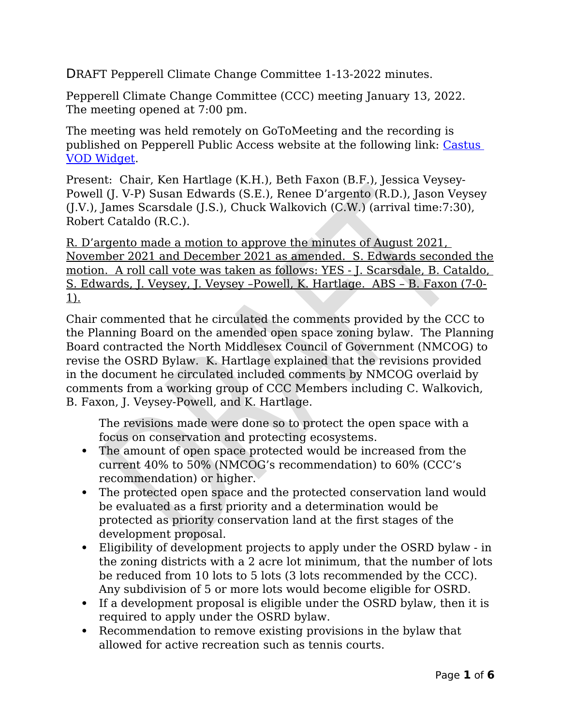DRAFT Pepperell Climate Change Committee 1-13-2022 minutes.

Pepperell Climate Change Committee (CCC) meeting January 13, 2022. The meeting opened at 7:00 pm.

The meeting was held remotely on GoToMeeting and the recording is published on Pepperell Public Access website at the following link: [Castus](https://pepperell.vod.castus.tv/vod/?video=a47a799b-2422-40f6-a2d3-d4176158f778&nav=programs%2FClimate%20Change%20Committee&volume=.65)  [VOD Widget.](https://pepperell.vod.castus.tv/vod/?video=a47a799b-2422-40f6-a2d3-d4176158f778&nav=programs%2FClimate%20Change%20Committee&volume=.65)

Present: Chair, Ken Hartlage (K.H.), Beth Faxon (B.F.), Jessica Veysey-Powell (J. V-P) Susan Edwards (S.E.), Renee D'argento (R.D.), Jason Veysey (J.V.), James Scarsdale (J.S.), Chuck Walkovich (C.W.) (arrival time:7:30), Robert Cataldo (R.C.).

R. D'argento made a motion to approve the minutes of August 2021, November 2021 and December 2021 as amended. S. Edwards seconded the motion. A roll call vote was taken as follows: YES - J. Scarsdale, B. Cataldo, S. Edwards, J. Veysey, J. Veysey –Powell, K. Hartlage. ABS – B. Faxon (7-0- 1).

Chair commented that he circulated the comments provided by the CCC to the Planning Board on the amended open space zoning bylaw. The Planning Board contracted the North Middlesex Council of Government (NMCOG) to revise the OSRD Bylaw. K. Hartlage explained that the revisions provided in the document he circulated included comments by NMCOG overlaid by comments from a working group of CCC Members including C. Walkovich, B. Faxon, J. Veysey-Powell, and K. Hartlage.

The revisions made were done so to protect the open space with a focus on conservation and protecting ecosystems.

- The amount of open space protected would be increased from the current 40% to 50% (NMCOG's recommendation) to 60% (CCC's recommendation) or higher.
- The protected open space and the protected conservation land would be evaluated as a first priority and a determination would be protected as priority conservation land at the first stages of the development proposal.
- Eligibility of development projects to apply under the OSRD bylaw in the zoning districts with a 2 acre lot minimum, that the number of lots be reduced from 10 lots to 5 lots (3 lots recommended by the CCC). Any subdivision of 5 or more lots would become eligible for OSRD.
- If a development proposal is eligible under the OSRD bylaw, then it is required to apply under the OSRD bylaw.
- Recommendation to remove existing provisions in the bylaw that allowed for active recreation such as tennis courts.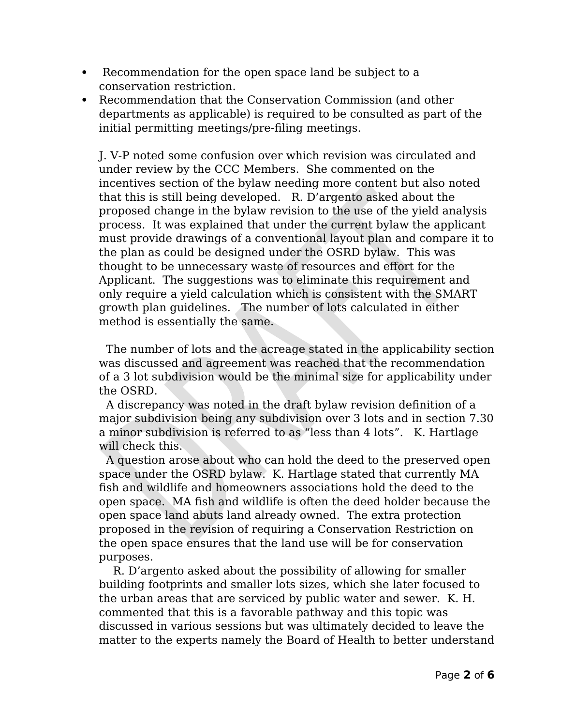- Recommendation for the open space land be subject to a conservation restriction.
- Recommendation that the Conservation Commission (and other departments as applicable) is required to be consulted as part of the initial permitting meetings/pre-filing meetings.

J. V-P noted some confusion over which revision was circulated and under review by the CCC Members. She commented on the incentives section of the bylaw needing more content but also noted that this is still being developed. R. D'argento asked about the proposed change in the bylaw revision to the use of the yield analysis process. It was explained that under the current bylaw the applicant must provide drawings of a conventional layout plan and compare it to the plan as could be designed under the OSRD bylaw. This was thought to be unnecessary waste of resources and effort for the Applicant. The suggestions was to eliminate this requirement and only require a yield calculation which is consistent with the SMART growth plan guidelines. The number of lots calculated in either method is essentially the same.

 The number of lots and the acreage stated in the applicability section was discussed and agreement was reached that the recommendation of a 3 lot subdivision would be the minimal size for applicability under the OSRD.

 A discrepancy was noted in the draft bylaw revision definition of a major subdivision being any subdivision over 3 lots and in section 7.30 a minor subdivision is referred to as "less than 4 lots". K. Hartlage will check this.

 A question arose about who can hold the deed to the preserved open space under the OSRD bylaw. K. Hartlage stated that currently MA fish and wildlife and homeowners associations hold the deed to the open space. MA fish and wildlife is often the deed holder because the open space land abuts land already owned. The extra protection proposed in the revision of requiring a Conservation Restriction on the open space ensures that the land use will be for conservation purposes.

 R. D'argento asked about the possibility of allowing for smaller building footprints and smaller lots sizes, which she later focused to the urban areas that are serviced by public water and sewer. K. H. commented that this is a favorable pathway and this topic was discussed in various sessions but was ultimately decided to leave the matter to the experts namely the Board of Health to better understand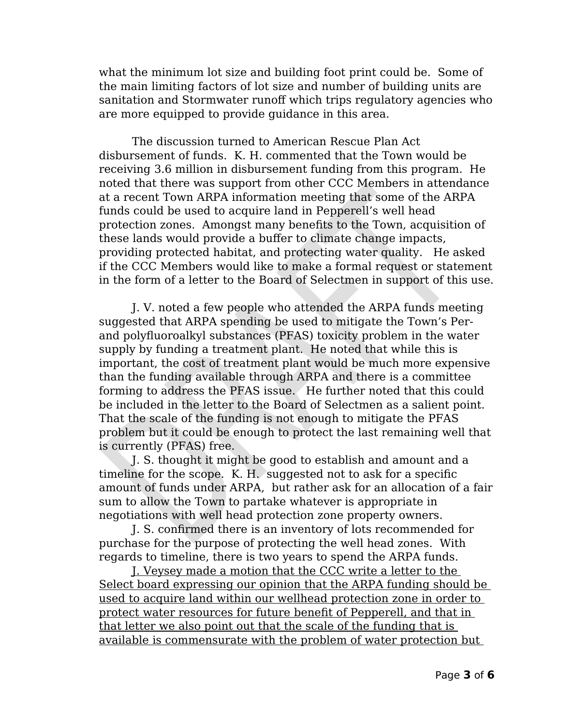what the minimum lot size and building foot print could be. Some of the main limiting factors of lot size and number of building units are sanitation and Stormwater runoff which trips regulatory agencies who are more equipped to provide guidance in this area.

The discussion turned to American Rescue Plan Act disbursement of funds. K. H. commented that the Town would be receiving 3.6 million in disbursement funding from this program. He noted that there was support from other CCC Members in attendance at a recent Town ARPA information meeting that some of the ARPA funds could be used to acquire land in Pepperell's well head protection zones. Amongst many benefits to the Town, acquisition of these lands would provide a buffer to climate change impacts, providing protected habitat, and protecting water quality. He asked if the CCC Members would like to make a formal request or statement in the form of a letter to the Board of Selectmen in support of this use.

J. V. noted a few people who attended the ARPA funds meeting suggested that ARPA spending be used to mitigate the Town's Perand polyfluoroalkyl substances (PFAS) toxicity problem in the water supply by funding a treatment plant. He noted that while this is important, the cost of treatment plant would be much more expensive than the funding available through ARPA and there is a committee forming to address the PFAS issue. He further noted that this could be included in the letter to the Board of Selectmen as a salient point. That the scale of the funding is not enough to mitigate the PFAS problem but it could be enough to protect the last remaining well that is currently (PFAS) free.

J. S. thought it might be good to establish and amount and a timeline for the scope. K. H. suggested not to ask for a specific amount of funds under ARPA, but rather ask for an allocation of a fair sum to allow the Town to partake whatever is appropriate in negotiations with well head protection zone property owners.

J. S. confirmed there is an inventory of lots recommended for purchase for the purpose of protecting the well head zones. With regards to timeline, there is two years to spend the ARPA funds.

J. Veysey made a motion that the CCC write a letter to the Select board expressing our opinion that the ARPA funding should be used to acquire land within our wellhead protection zone in order to protect water resources for future benefit of Pepperell, and that in that letter we also point out that the scale of the funding that is available is commensurate with the problem of water protection but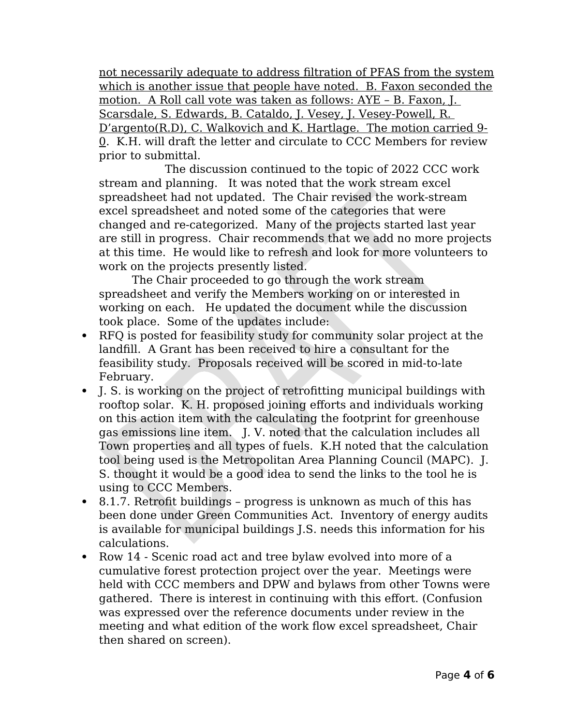not necessarily adequate to address filtration of PFAS from the system which is another issue that people have noted. B. Faxon seconded the motion. A Roll call vote was taken as follows: AYE – B. Faxon, J. Scarsdale, S. Edwards, B. Cataldo, J. Vesey, J. Vesey-Powell, R. D'argento(R.D), C. Walkovich and K. Hartlage. The motion carried 9- 0. K.H. will draft the letter and circulate to CCC Members for review prior to submittal.

 The discussion continued to the topic of 2022 CCC work stream and planning. It was noted that the work stream excel spreadsheet had not updated. The Chair revised the work-stream excel spreadsheet and noted some of the categories that were changed and re-categorized. Many of the projects started last year are still in progress. Chair recommends that we add no more projects at this time. He would like to refresh and look for more volunteers to work on the projects presently listed.

The Chair proceeded to go through the work stream spreadsheet and verify the Members working on or interested in working on each. He updated the document while the discussion took place. Some of the updates include:

- RFQ is posted for feasibility study for community solar project at the landfill. A Grant has been received to hire a consultant for the feasibility study. Proposals received will be scored in mid-to-late February.
- J. S. is working on the project of retrofitting municipal buildings with rooftop solar. K. H. proposed joining efforts and individuals working on this action item with the calculating the footprint for greenhouse gas emissions line item. J. V. noted that the calculation includes all Town properties and all types of fuels. K.H noted that the calculation tool being used is the Metropolitan Area Planning Council (MAPC). J. S. thought it would be a good idea to send the links to the tool he is using to CCC Members.
- 8.1.7. Retrofit buildings progress is unknown as much of this has been done under Green Communities Act. Inventory of energy audits is available for municipal buildings J.S. needs this information for his calculations.
- Row 14 Scenic road act and tree bylaw evolved into more of a cumulative forest protection project over the year. Meetings were held with CCC members and DPW and bylaws from other Towns were gathered. There is interest in continuing with this effort. (Confusion was expressed over the reference documents under review in the meeting and what edition of the work flow excel spreadsheet, Chair then shared on screen).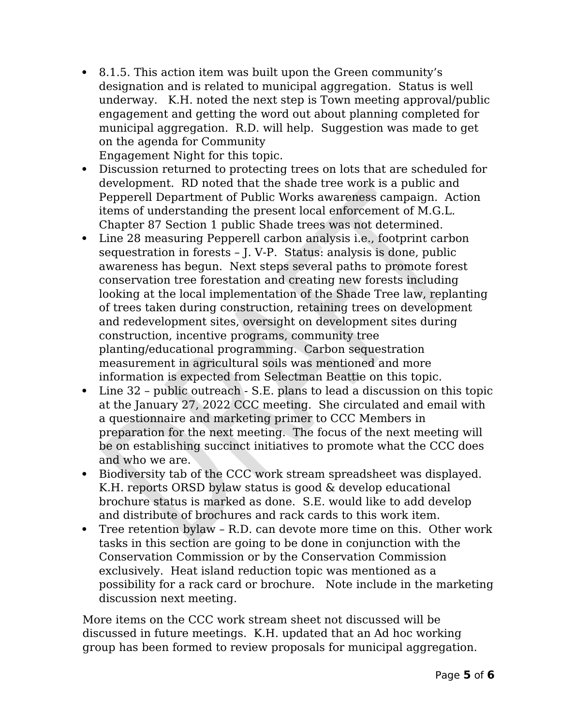8.1.5. This action item was built upon the Green community's designation and is related to municipal aggregation. Status is well underway. K.H. noted the next step is Town meeting approval/public engagement and getting the word out about planning completed for municipal aggregation. R.D. will help. Suggestion was made to get on the agenda for Community

Engagement Night for this topic.

- Discussion returned to protecting trees on lots that are scheduled for development. RD noted that the shade tree work is a public and Pepperell Department of Public Works awareness campaign. Action items of understanding the present local enforcement of M.G.L. Chapter 87 Section 1 public Shade trees was not determined.
- Line 28 measuring Pepperell carbon analysis i.e., footprint carbon sequestration in forests – J. V-P. Status: analysis is done, public awareness has begun. Next steps several paths to promote forest conservation tree forestation and creating new forests including looking at the local implementation of the Shade Tree law, replanting of trees taken during construction, retaining trees on development and redevelopment sites, oversight on development sites during construction, incentive programs, community tree planting/educational programming. Carbon sequestration measurement in agricultural soils was mentioned and more information is expected from Selectman Beattie on this topic.
- Line 32 public outreach S.E. plans to lead a discussion on this topic at the January 27, 2022 CCC meeting. She circulated and email with a questionnaire and marketing primer to CCC Members in preparation for the next meeting. The focus of the next meeting will be on establishing succinct initiatives to promote what the CCC does and who we are.
- Biodiversity tab of the CCC work stream spreadsheet was displayed. K.H. reports ORSD bylaw status is good & develop educational brochure status is marked as done. S.E. would like to add develop and distribute of brochures and rack cards to this work item.
- Tree retention bylaw R.D. can devote more time on this. Other work tasks in this section are going to be done in conjunction with the Conservation Commission or by the Conservation Commission exclusively. Heat island reduction topic was mentioned as a possibility for a rack card or brochure. Note include in the marketing discussion next meeting.

More items on the CCC work stream sheet not discussed will be discussed in future meetings. K.H. updated that an Ad hoc working group has been formed to review proposals for municipal aggregation.